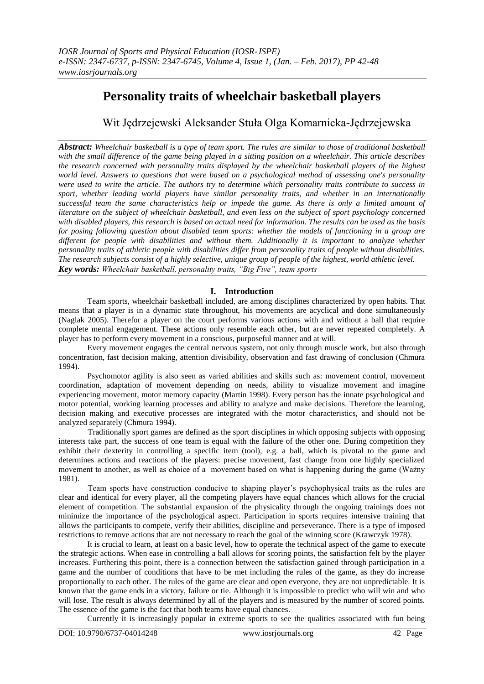# **Personality traits of wheelchair basketball players**

Wit Jędrzejewski Aleksander Stuła Olga Komarnicka-Jędrzejewska

*Abstract: Wheelchair basketball is a type of team sport. The rules are similar to those of traditional basketball with the small difference of the game being played in a sitting position on a wheelchair. This article describes the research concerned with personality traits displayed by the wheelchair basketball players of the highest world level. Answers to questions that were based on a psychological method of assessing one's personality were used to write the article. The authors try to determine which personality traits contribute to success in sport, whether leading world players have similar personality traits, and whether in an internationally successful team the same characteristics help or impede the game. As there is only a limited amount of literature on the subject of wheelchair basketball, and even less on the subject of sport psychology concerned with disabled players, this research is based on actual need for information. The results can be used as the basis for posing following question about disabled team sports: whether the models of functioning in a group are different for people with disabilities and without them. Additionally it is important to analyze whether personality traits of athletic people with disabilities differ from personality traits of people without disabilities. The research subjects consist of a highly selective, unique group of people of the highest, world athletic level. Key words: Wheelchair basketball, personality traits, "Big Five", team sports*

## **I. Introduction**

Team sports, wheelchair basketball included, are among disciplines characterized by open habits. That means that a player is in a dynamic state throughout, his movements are acyclical and done simultaneously (Naglak 2005). Therefor a player on the court performs various actions with and without a ball that require complete mental engagement. These actions only resemble each other, but are never repeated completely. A player has to perform every movement in a conscious, purposeful manner and at will.

Every movement engages the central nervous system, not only through muscle work, but also through concentration, fast decision making, attention divisibility, observation and fast drawing of conclusion (Chmura 1994).

Psychomotor agility is also seen as varied abilities and skills such as: movement control, movement coordination, adaptation of movement depending on needs, ability to visualize movement and imagine experiencing movement, motor memory capacity (Martin 1998). Every person has the innate psychological and motor potential, working learning processes and ability to analyze and make decisions. Therefore the learning, decision making and executive processes are integrated with the motor characteristics, and should not be analyzed separately (Chmura 1994).

Traditionally sport games are defined as the sport disciplines in which opposing subjects with opposing interests take part, the success of one team is equal with the failure of the other one. During competition they exhibit their dexterity in controlling a specific item (tool), e.g. a ball, which is pivotal to the game and determines actions and reactions of the players: precise movement, fast change from one highly specialized movement to another, as well as choice of a movement based on what is happening during the game (Ważny 1981).

Team sports have construction conducive to shaping player's psychophysical traits as the rules are clear and identical for every player, all the competing players have equal chances which allows for the crucial element of competition. The substantial expansion of the physicality through the ongoing trainings does not minimize the importance of the psychological aspect. Participation in sports requires intensive training that allows the participants to compete, verify their abilities, discipline and perseverance. There is a type of imposed restrictions to remove actions that are not necessary to reach the goal of the winning score (Krawczyk 1978).

It is crucial to learn, at least on a basic level, how to operate the technical aspect of the game to execute the strategic actions. When ease in controlling a ball allows for scoring points, the satisfaction felt by the player increases. Furthering this point, there is a connection between the satisfaction gained through participation in a game and the number of conditions that have to be met including the rules of the game, as they do increase proportionally to each other. The rules of the game are clear and open everyone, they are not unpredictable. It is known that the game ends in a victory, failure or tie. Although it is impossible to predict who will win and who will lose. The result is always determined by all of the players and is measured by the number of scored points. The essence of the game is the fact that both teams have equal chances.

Currently it is increasingly popular in extreme sports to see the qualities associated with fun being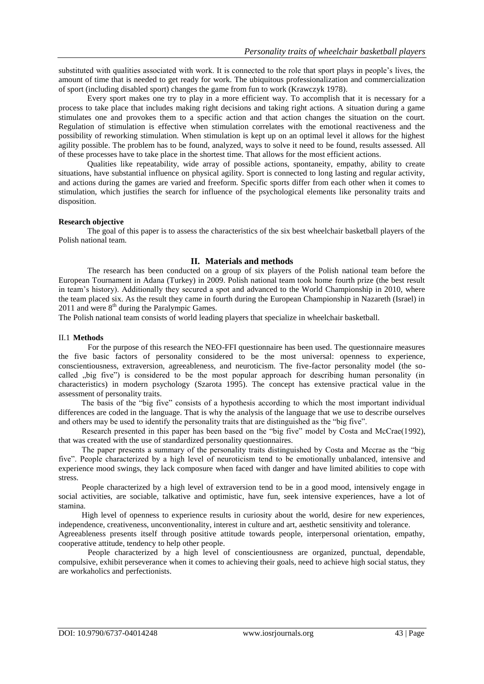substituted with qualities associated with work. It is connected to the role that sport plays in people's lives, the amount of time that is needed to get ready for work. The ubiquitous professionalization and commercialization of sport (including disabled sport) changes the game from fun to work (Krawczyk 1978).

Every sport makes one try to play in a more efficient way. To accomplish that it is necessary for a process to take place that includes making right decisions and taking right actions. A situation during a game stimulates one and provokes them to a specific action and that action changes the situation on the court. Regulation of stimulation is effective when stimulation correlates with the emotional reactiveness and the possibility of reworking stimulation. When stimulation is kept up on an optimal level it allows for the highest agility possible. The problem has to be found, analyzed, ways to solve it need to be found, results assessed. All of these processes have to take place in the shortest time. That allows for the most efficient actions.

Qualities like repeatability, wide array of possible actions, spontaneity, empathy, ability to create situations, have substantial influence on physical agility. Sport is connected to long lasting and regular activity, and actions during the games are varied and freeform. Specific sports differ from each other when it comes to stimulation, which justifies the search for influence of the psychological elements like personality traits and disposition.

#### **Research objective**

The goal of this paper is to assess the characteristics of the six best wheelchair basketball players of the Polish national team.

## **II. Materials and methods**

The research has been conducted on a group of six players of the Polish national team before the European Tournament in Adana (Turkey) in 2009. Polish national team took home fourth prize (the best result in team's history). Additionally they secured a spot and advanced to the World Championship in 2010, where the team placed six. As the result they came in fourth during the European Championship in Nazareth (Israel) in  $2011$  and were  $8<sup>th</sup>$  during the Paralympic Games.

The Polish national team consists of world leading players that specialize in wheelchair basketball.

#### II.1 **Methods**

For the purpose of this research the NEO-FFI questionnaire has been used. The questionnaire measures the five basic factors of personality considered to be the most universal: openness to experience, conscientiousness, extraversion, agreeableness, and neuroticism. The five-factor personality model (the socalled "big five") is considered to be the most popular approach for describing human personality (in characteristics) in modern psychology (Szarota 1995). The concept has extensive practical value in the assessment of personality traits.

The basis of the "big five" consists of a hypothesis according to which the most important individual differences are coded in the language. That is why the analysis of the language that we use to describe ourselves and others may be used to identify the personality traits that are distinguished as the "big five".

Research presented in this paper has been based on the "big five" model by Costa and McCrae(1992), that was created with the use of standardized personality questionnaires.

The paper presents a summary of the personality traits distinguished by Costa and Mccrae as the "big five". People characterized by a high level of neuroticism tend to be emotionally unbalanced, intensive and experience mood swings, they lack composure when faced with danger and have limited abilities to cope with stress.

People characterized by a high level of extraversion tend to be in a good mood, intensively engage in social activities, are sociable, talkative and optimistic, have fun, seek intensive experiences, have a lot of stamina.

High level of openness to experience results in curiosity about the world, desire for new experiences, independence, creativeness, unconventionality, interest in culture and art, aesthetic sensitivity and tolerance.

Agreeableness presents itself through positive attitude towards people, interpersonal orientation, empathy, cooperative attitude, tendency to help other people.

People characterized by a high level of conscientiousness are organized, punctual, dependable, compulsive, exhibit perseverance when it comes to achieving their goals, need to achieve high social status, they are workaholics and perfectionists.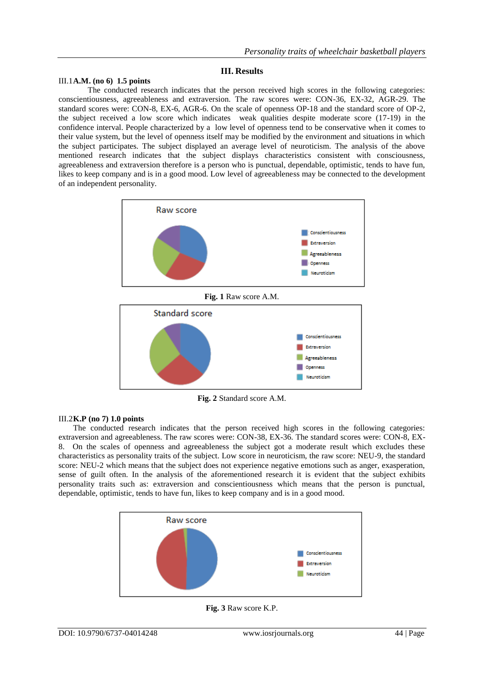## **III. Results**

#### III.1**A.M. (no 6) 1.5 points**

The conducted research indicates that the person received high scores in the following categories: conscientiousness, agreeableness and extraversion. The raw scores were: CON-36, EX-32, AGR-29. The standard scores were: CON-8, EX-6, AGR-6. On the scale of openness OP-18 and the standard score of OP-2, the subject received a low score which indicates weak qualities despite moderate score (17-19) in the confidence interval. People characterized by a low level of openness tend to be conservative when it comes to their value system, but the level of openness itself may be modified by the environment and situations in which the subject participates. The subject displayed an average level of neuroticism. The analysis of the above mentioned research indicates that the subject displays characteristics consistent with consciousness, agreeableness and extraversion therefore is a person who is punctual, dependable, optimistic, tends to have fun, likes to keep company and is in a good mood. Low level of agreeableness may be connected to the development of an independent personality.



**Fig. 2** Standard score A.M.

#### III.2**K.P (no 7) 1.0 points**

The conducted research indicates that the person received high scores in the following categories: extraversion and agreeableness. The raw scores were: CON-38, EX-36. The standard scores were: CON-8, EX-8. On the scales of openness and agreeableness the subject got a moderate result which excludes these characteristics as personality traits of the subject. Low score in neuroticism, the raw score: NEU-9, the standard score: NEU-2 which means that the subject does not experience negative emotions such as anger, exasperation, sense of guilt often. In the analysis of the aforementioned research it is evident that the subject exhibits personality traits such as: extraversion and conscientiousness which means that the person is punctual, dependable, optimistic, tends to have fun, likes to keep company and is in a good mood.



**Fig. 3** Raw score K.P.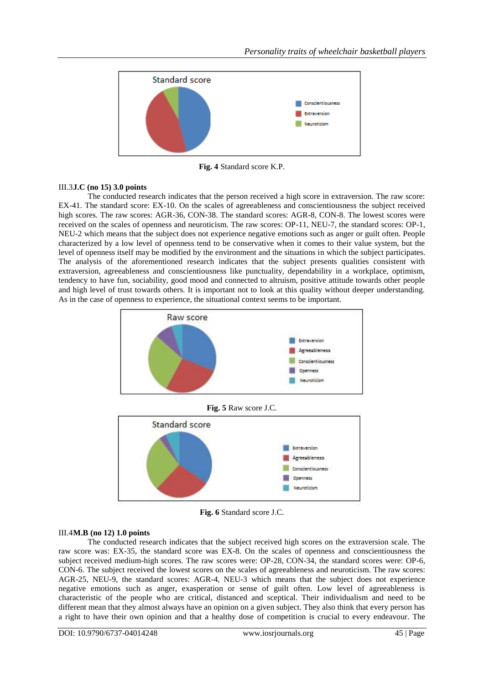

**Fig. 4** Standard score K.P.

## III.3**J.C (no 15) 3.0 points**

The conducted research indicates that the person received a high score in extraversion. The raw score: EX-41. The standard score: EX-10. On the scales of agreeableness and conscientiousness the subject received high scores. The raw scores: AGR-36, CON-38. The standard scores: AGR-8, CON-8. The lowest scores were received on the scales of openness and neuroticism. The raw scores: OP-11, NEU-7, the standard scores: OP-1, NEU-2 which means that the subject does not experience negative emotions such as anger or guilt often. People characterized by a low level of openness tend to be conservative when it comes to their value system, but the level of openness itself may be modified by the environment and the situations in which the subject participates. The analysis of the aforementioned research indicates that the subject presents qualities consistent with extraversion, agreeableness and conscientiousness like punctuality, dependability in a workplace, optimism, tendency to have fun, sociability, good mood and connected to altruism, positive attitude towards other people and high level of trust towards others. It is important not to look at this quality without deeper understanding. As in the case of openness to experience, the situational context seems to be important.



**Fig. 6** Standard score J.C.

## III.4**M.B (no 12) 1.0 points**

The conducted research indicates that the subject received high scores on the extraversion scale. The raw score was: EX-35, the standard score was EX-8. On the scales of openness and conscientiousness the subject received medium-high scores. The raw scores were: OP-28, CON-34, the standard scores were: OP-6, CON-6. The subject received the lowest scores on the scales of agreeableness and neuroticism. The raw scores: AGR-25, NEU-9, the standard scores: AGR-4, NEU-3 which means that the subject does not experience negative emotions such as anger, exasperation or sense of guilt often. Low level of agreeableness is characteristic of the people who are critical, distanced and sceptical. Their individualism and need to be different mean that they almost always have an opinion on a given subject. They also think that every person has a right to have their own opinion and that a healthy dose of competition is crucial to every endeavour. The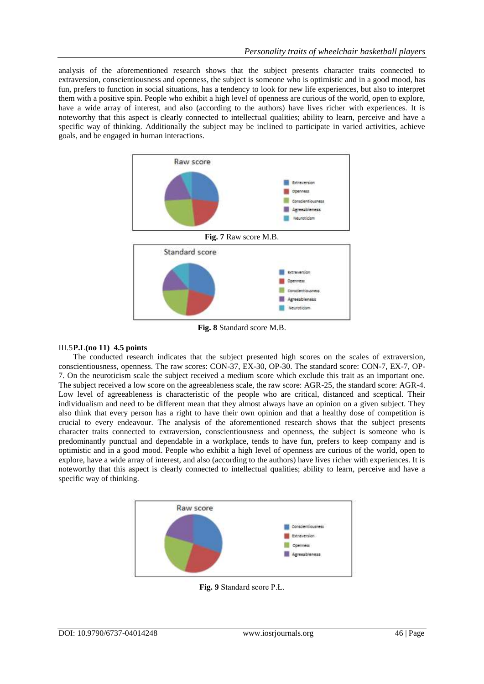analysis of the aforementioned research shows that the subject presents character traits connected to extraversion, conscientiousness and openness, the subject is someone who is optimistic and in a good mood, has fun, prefers to function in social situations, has a tendency to look for new life experiences, but also to interpret them with a positive spin. People who exhibit a high level of openness are curious of the world, open to explore, have a wide array of interest, and also (according to the authors) have lives richer with experiences. It is noteworthy that this aspect is clearly connected to intellectual qualities; ability to learn, perceive and have a specific way of thinking. Additionally the subject may be inclined to participate in varied activities, achieve goals, and be engaged in human interactions.



**Fig. 8** Standard score M.B.

## III.5**P.L(no 11) 4.5 points**

The conducted research indicates that the subject presented high scores on the scales of extraversion, conscientiousness, openness. The raw scores: CON-37, EX-30, OP-30. The standard score: CON-7, EX-7, OP-7. On the neuroticism scale the subject received a medium score which exclude this trait as an important one. The subject received a low score on the agreeableness scale, the raw score: AGR-25, the standard score: AGR-4. Low level of agreeableness is characteristic of the people who are critical, distanced and sceptical. Their individualism and need to be different mean that they almost always have an opinion on a given subject. They also think that every person has a right to have their own opinion and that a healthy dose of competition is crucial to every endeavour. The analysis of the aforementioned research shows that the subject presents character traits connected to extraversion, conscientiousness and openness, the subject is someone who is predominantly punctual and dependable in a workplace, tends to have fun, prefers to keep company and is optimistic and in a good mood. People who exhibit a high level of openness are curious of the world, open to explore, have a wide array of interest, and also (according to the authors) have lives richer with experiences. It is noteworthy that this aspect is clearly connected to intellectual qualities; ability to learn, perceive and have a specific way of thinking.



**Fig. 9** Standard score P.Ł.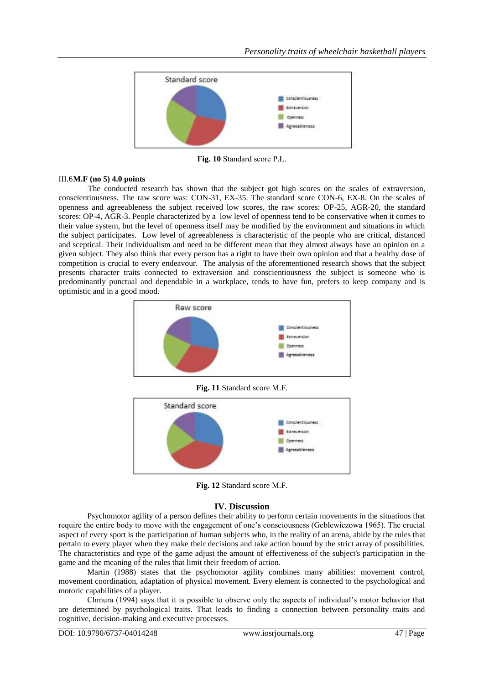

**Fig. 10** Standard score P.Ł.

#### III.6**M.F (no 5) 4.0 points**

The conducted research has shown that the subject got high scores on the scales of extraversion, conscientiousness. The raw score was: CON-31, EX-35. The standard score CON-6, EX-8. On the scales of openness and agreeableness the subject received low scores, the raw scores: OP-25, AGR-20, the standard scores: OP-4, AGR-3. People characterized by a low level of openness tend to be conservative when it comes to their value system, but the level of openness itself may be modified by the environment and situations in which the subject participates. Low level of agreeableness is characteristic of the people who are critical, distanced and sceptical. Their individualism and need to be different mean that they almost always have an opinion on a given subject. They also think that every person has a right to have their own opinion and that a healthy dose of competition is crucial to every endeavour. The analysis of the aforementioned research shows that the subject presents character traits connected to extraversion and conscientiousness the subject is someone who is predominantly punctual and dependable in a workplace, tends to have fun, prefers to keep company and is optimistic and in a good mood.



**Fig. 11** Standard score M.F.



**Fig. 12** Standard score M.F.

## **IV. Discussion**

Psychomotor agility of a person defines their ability to perform certain movements in the situations that require the entire body to move with the engagement of one's consciousness (Geblewiczowa 1965). The crucial aspect of every sport is the participation of human subjects who, in the reality of an arena, abide by the rules that pertain to every player when they make their decisions and take action bound by the strict array of possibilities. The characteristics and type of the game adjust the amount of effectiveness of the subject's participation in the game and the meaning of the rules that limit their freedom of action.

Martin (1988) states that the psychomotor agility combines many abilities: movement control, movement coordination, adaptation of physical movement. Every element is connected to the psychological and motoric capabilities of a player.

Chmura (1994) says that it is possible to observe only the aspects of individual's motor behavior that are determined by psychological traits. That leads to finding a connection between personality traits and cognitive, decision-making and executive processes.